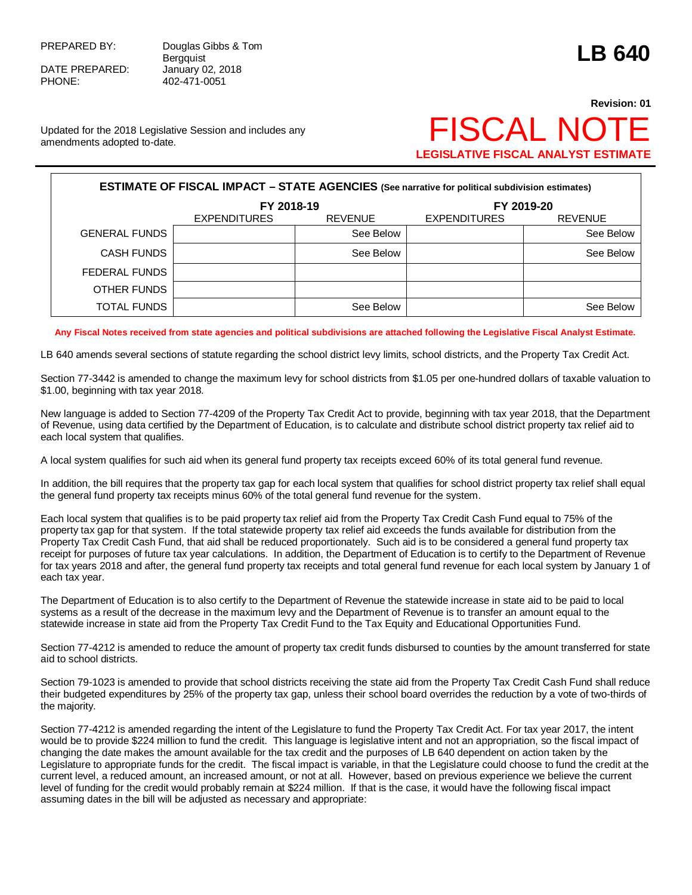DATE PREPARED: January 02, 2018 PHONE: 402-471-0051

PREPARED BY: Douglas Gibbs & Tom Bergquist **LB 640**

## **Revision: 01 LEGISLATIVE FISCAL ANALYST ESTIMATE**

Updated for the 2018 Legislative Session and includes any Updated for the 2018 Legislative Session and includes any  $\mathsf{F}\mathsf{SCAL}\,\mathsf{N}\mathsf{C}$ 

| <b>ESTIMATE OF FISCAL IMPACT - STATE AGENCIES (See narrative for political subdivision estimates)</b> |                     |                |                     |                |  |  |
|-------------------------------------------------------------------------------------------------------|---------------------|----------------|---------------------|----------------|--|--|
|                                                                                                       | FY 2018-19          |                | FY 2019-20          |                |  |  |
|                                                                                                       | <b>EXPENDITURES</b> | <b>REVENUE</b> | <b>EXPENDITURES</b> | <b>REVENUE</b> |  |  |
| <b>GENERAL FUNDS</b>                                                                                  |                     | See Below      |                     | See Below      |  |  |
| <b>CASH FUNDS</b>                                                                                     |                     | See Below      |                     | See Below      |  |  |
| FEDERAL FUNDS                                                                                         |                     |                |                     |                |  |  |
| OTHER FUNDS                                                                                           |                     |                |                     |                |  |  |
| <b>TOTAL FUNDS</b>                                                                                    |                     | See Below      |                     | See Below      |  |  |

## **Any Fiscal Notes received from state agencies and political subdivisions are attached following the Legislative Fiscal Analyst Estimate.**

LB 640 amends several sections of statute regarding the school district levy limits, school districts, and the Property Tax Credit Act.

Section 77-3442 is amended to change the maximum levy for school districts from \$1.05 per one-hundred dollars of taxable valuation to \$1.00, beginning with tax year 2018.

New language is added to Section 77-4209 of the Property Tax Credit Act to provide, beginning with tax year 2018, that the Department of Revenue, using data certified by the Department of Education, is to calculate and distribute school district property tax relief aid to each local system that qualifies.

A local system qualifies for such aid when its general fund property tax receipts exceed 60% of its total general fund revenue.

In addition, the bill requires that the property tax gap for each local system that qualifies for school district property tax relief shall equal the general fund property tax receipts minus 60% of the total general fund revenue for the system.

Each local system that qualifies is to be paid property tax relief aid from the Property Tax Credit Cash Fund equal to 75% of the property tax gap for that system. If the total statewide property tax relief aid exceeds the funds available for distribution from the Property Tax Credit Cash Fund, that aid shall be reduced proportionately. Such aid is to be considered a general fund property tax receipt for purposes of future tax year calculations. In addition, the Department of Education is to certify to the Department of Revenue for tax years 2018 and after, the general fund property tax receipts and total general fund revenue for each local system by January 1 of each tax year.

The Department of Education is to also certify to the Department of Revenue the statewide increase in state aid to be paid to local systems as a result of the decrease in the maximum levy and the Department of Revenue is to transfer an amount equal to the statewide increase in state aid from the Property Tax Credit Fund to the Tax Equity and Educational Opportunities Fund.

Section 77-4212 is amended to reduce the amount of property tax credit funds disbursed to counties by the amount transferred for state aid to school districts.

Section 79-1023 is amended to provide that school districts receiving the state aid from the Property Tax Credit Cash Fund shall reduce their budgeted expenditures by 25% of the property tax gap, unless their school board overrides the reduction by a vote of two-thirds of the majority.

Section 77-4212 is amended regarding the intent of the Legislature to fund the Property Tax Credit Act. For tax year 2017, the intent would be to provide \$224 million to fund the credit. This language is legislative intent and not an appropriation, so the fiscal impact of changing the date makes the amount available for the tax credit and the purposes of LB 640 dependent on action taken by the Legislature to appropriate funds for the credit. The fiscal impact is variable, in that the Legislature could choose to fund the credit at the current level, a reduced amount, an increased amount, or not at all. However, based on previous experience we believe the current level of funding for the credit would probably remain at \$224 million. If that is the case, it would have the following fiscal impact assuming dates in the bill will be adjusted as necessary and appropriate: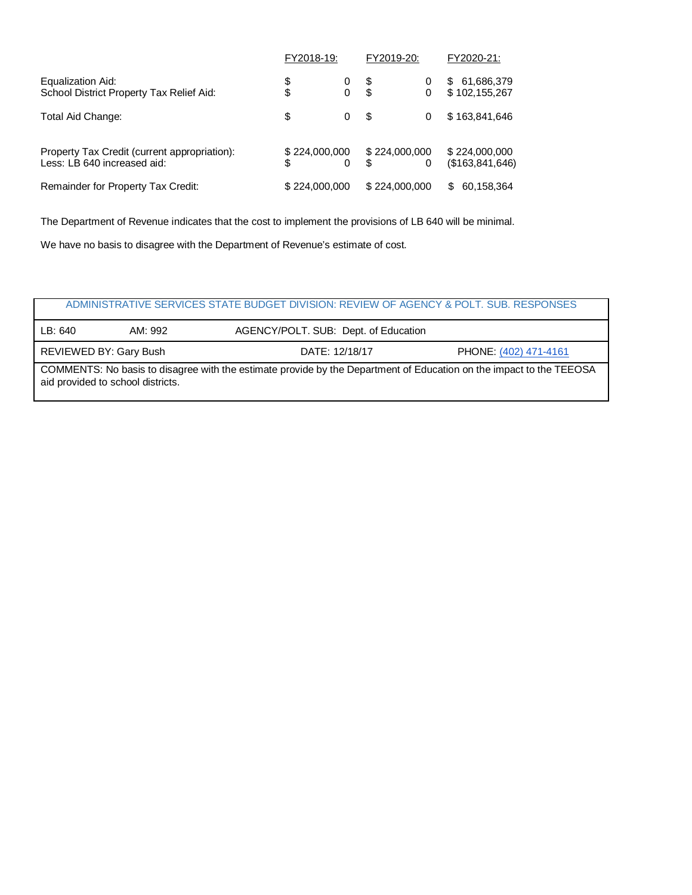|                                                                             | FY2018-19:         |        | FY2019-20: |                    | FY2020-21:                       |  |
|-----------------------------------------------------------------------------|--------------------|--------|------------|--------------------|----------------------------------|--|
| Equalization Aid:<br>School District Property Tax Relief Aid:               | \$<br>\$           | 0<br>0 | \$<br>\$   | 0<br>0             | 61,686,379<br>S<br>\$102,155,267 |  |
| Total Aid Change:                                                           | \$                 | 0      | S          | 0                  | \$163,841,646                    |  |
| Property Tax Credit (current appropriation):<br>Less: LB 640 increased aid: | \$224,000,000<br>S |        | \$.        | \$224,000,000<br>0 | \$224,000,000<br>(\$163,841,646) |  |
| Remainder for Property Tax Credit:                                          | \$224,000,000      |        |            | \$224,000,000      | 60,158,364<br>\$                 |  |

The Department of Revenue indicates that the cost to implement the provisions of LB 640 will be minimal.

We have no basis to disagree with the Department of Revenue's estimate of cost.

| ADMINISTRATIVE SERVICES STATE BUDGET DIVISION: REVIEW OF AGENCY & POLT, SUB, RESPONSES                                                                   |         |                                      |  |  |  |  |
|----------------------------------------------------------------------------------------------------------------------------------------------------------|---------|--------------------------------------|--|--|--|--|
| LB:640                                                                                                                                                   | AM: 992 | AGENCY/POLT. SUB: Dept. of Education |  |  |  |  |
| REVIEWED BY: Gary Bush<br>DATE: 12/18/17<br>PHONE: (402) 471-4161                                                                                        |         |                                      |  |  |  |  |
| COMMENTS: No basis to disagree with the estimate provide by the Department of Education on the impact to the TEEOSA<br>aid provided to school districts. |         |                                      |  |  |  |  |